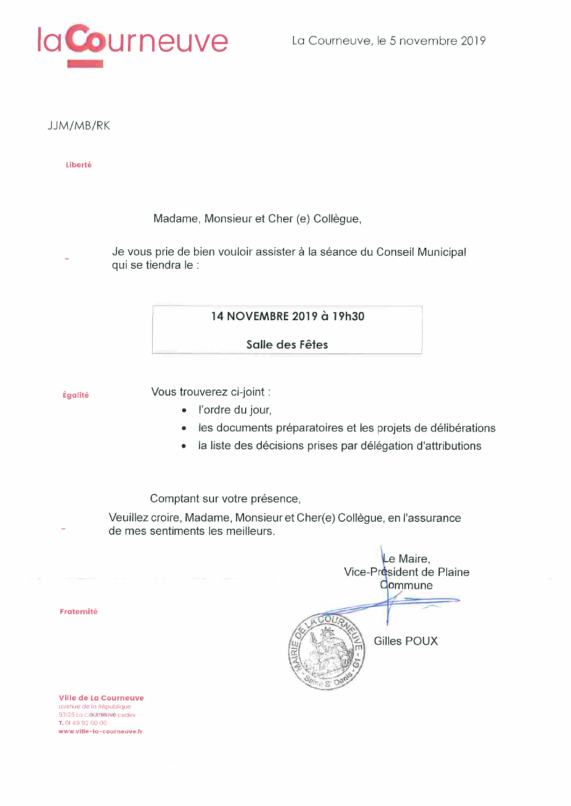

JJM/MB/RK

Liberté

Madame, Monsieur et Cher (e) Collègue,

Je vous prie de bien vouloir assister à la séance du Conseil Municipal qui se tiendra le :

14 NOVEMBRE 2019 à 19h30

Salle des Fêtes

Égalité

Vous trouverez ci-joint :

- · l'ordre du jour,
- $\bullet$ les documents préparatoires et les projets de délibérations
- la liste des décisions prises par délégation d'attributions  $\bullet$

Comptant sur votre présence,

Veuillez croire, Madame, Monsieur et Cher(e) Collègue, en l'assurance de mes sentiments les meilleurs.

|      | Le Maire,<br>Vice-Président de Plaine<br>Commune |
|------|--------------------------------------------------|
| JAN. | Gilles POUX                                      |

Fraternité

Ville de La Courneuve avenue de la République 93126 La Courneuve cedex T. 01 49 92 60 00 www.ville-la-courneuve.fr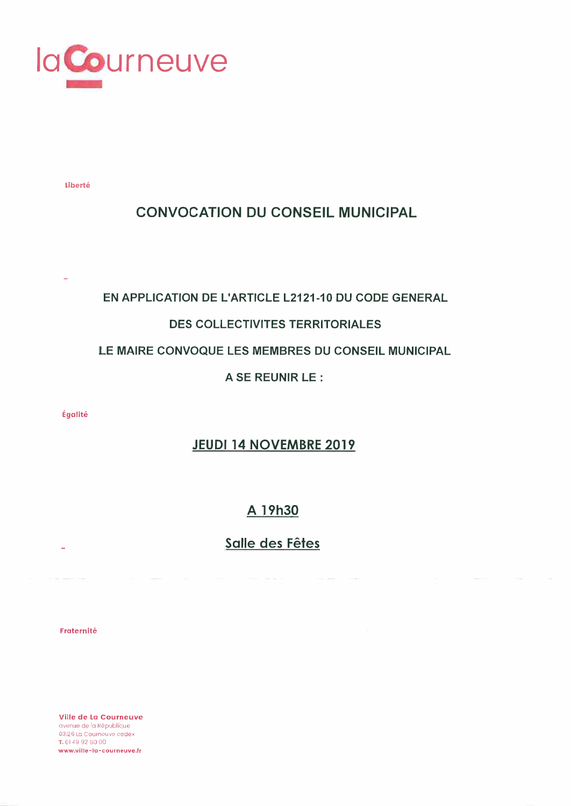

Liberté

# **CONVOCATION DU CONSEIL MUNICIPAL**

# EN APPLICATION DE L'ARTICLE L2121-10 DU CODE GENERAL

# **DES COLLECTIVITES TERRITORIALES**

### LE MAIRE CONVOQUE LES MEMBRES DU CONSEIL MUNICIPAL

A SE REUNIR LE :

Égalité

# **JEUDI 14 NOVEMBRE 2019**

# A 19h30

# Salle des Fêtes

Fraternité

Ville de La Courneuve avenue de la République 93|26 La Courneuve cedex T. 01 49 92 60 00 www.ville-la-courneuve.fr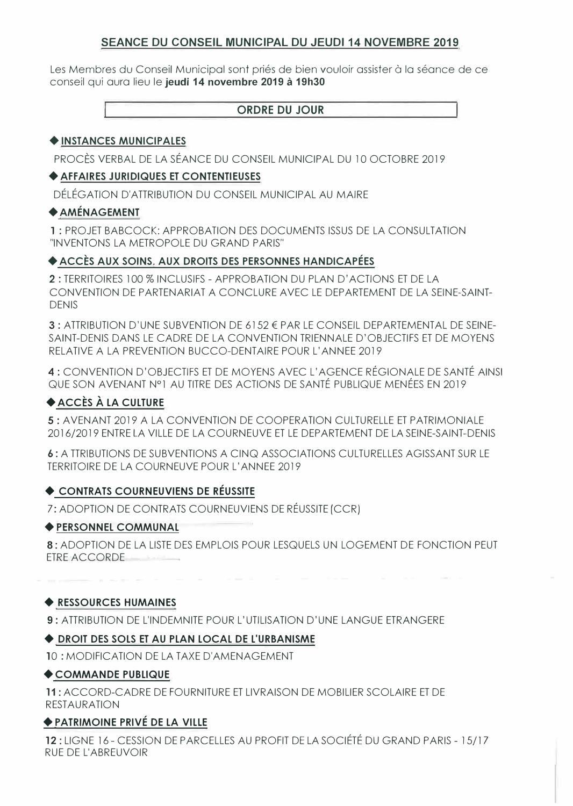### **SEANCE DU CONSEIL MUNICIPAL DU JEUDI 14 NOVEMBRE 2019**

Les Membres du Conseil Municipal sont priés de bien vouloir assister à la séance de ce conseil qui aura lieu le **jeudi 14 novembre 2019 à 19h30** 

#### **ORDRE DU JOUR**

#### + **INSTANCES MUNICIPALES**

PROCÈS VERBAL DE LA SÉANCE DU CONSEIL MUNICIPAL DU 10 OCTOBRE 2019

#### + **AFFAIRES JURIDIQUES ET CONTENTIEUSES**

DÉLÉGATION D'ATTRIBUTION DU CONSEIL MUNICIPAL AU MAIRE

#### +**AMÉNAGEMENT**

**1** : PROJET BABCOCK: APPROBATION DES DOCUMENTS ISSUS DE LA CONSULTATION "INVENTONS LA METROPOLE DU GRAND PARIS"

#### + **ACCÈS AUX SOINS. AUX DROITS DES PERSONNES HANDICAPÉES**

**2:** TERRITOIRES 100 % INCLUSIFS - APPROBATION DU PLAN D'ACTIONS ET DE LA CONVENTION DE PARTENARIAT A CONCLURE AVEC LE DEPARTEMENT DE LA SEINE-SAINT-DENIS

3 : ATTRIBUTION D'UNE SUBVENTION DE 6152 € PAR LE CONSEIL DEPARTEMENTAL DE SEINE-SAINT-DENIS DANS LE CADRE DE LA CONVENTION TRIENNALE D'OBJECTIFS ET DE MOYENS RELATIVE A LA PREVENTION BUCCO-DENTAIRE POUR L'ANNEE 2019

4: CONVENTION D'OBJECTIFS ET DE MOYENS AVEC L'AGENCE RÉGIONALE DE SANTÉ AINSI QUE SON AVENANT N °1 AU TITRE DES ACTIONS DE SANTÉ PUBLIQUE MENÉES EN 2019

# + **ACCÈS À LA CULTURE**

**5:** AVENANT 2019 A LA CONVENTION DE COOPERAT/ON CULTURELLE ET PATRIMONIALE 2016/2019 ENTRE LA VILLE DE LA COURNEUVE ET LE DEPARTEMENT DE LA SEINE-SAINT-DENIS

6 : A TTR/BUTIONS DE SUBVENTIONS A CINQ ASSOCIATIONS CULTURELLES AGISSANT SUR LE TERRITOIRE DE LA COURNEUVE POUR L'ANNEE 2019

# + **CONTRATS COURNEUVIENS DE RÉUSSITE**

7: ADOPTION DE CONTRATS COURNEUV/ENS DE RÉUSSITE (CCRJ

#### + **PERSONNEL COMMUNAL**

**8:** ADOPTION DE LA LISTE DES EMPLOIS POUR LESQUELS UN LOGEMENT DE FONCTION PEUT ETRE ACCORDE

+ **RESSOURCES HUMAINES**

**9:** ATTRIBUT/ON DE L'INDEMNITE POUR L'UTILISATION D'UNE LANGUE ETRANGERE

# + **DROIT DES SOLS ET AU PLAN LOCAL DE L'URBANISME**

10 : MODIFICATION DE LA TAXE D'AMENAGEMENT

#### + **COMMANDE PUBLIQUE**

**11:** ACCORD-CADRE DE FOURNITURE ET LIVRAISON DE MOBILIER SCOLAIRE ET DE RESTAURATION

#### **+.PATRIMOINE PRIVÉ DE LA VILLE**

**12:** LIGNE 16 - CESSION DE PARCELLES AU PROFIT DE LA SOCIÉTÉ DU GRAND PARIS - 15/17 RUE DE L'ABREUVOIR